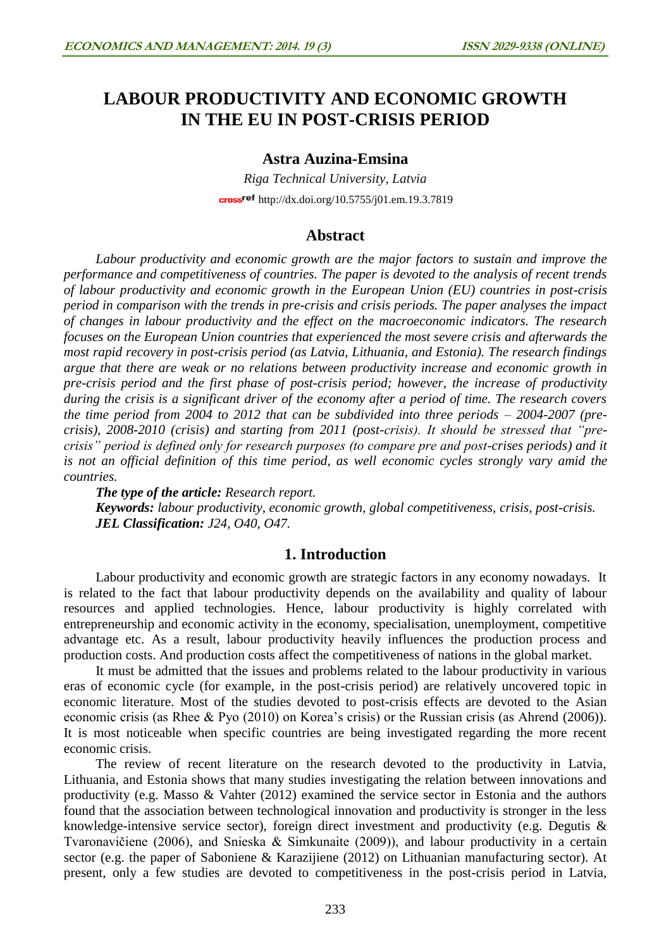# **LABOUR PRODUCTIVITY AND ECONOMIC GROWTH IN THE EU IN POST-CRISIS PERIOD**

## **Astra Auzina-Emsina**

*Riga Technical University, Latvia* cross<sup>ref</sup> <http://dx.doi.org/10.5755/j01.em.19.3.7819>

# **Abstract**

*Labour productivity and economic growth are the major factors to sustain and improve the performance and competitiveness of countries. The paper is devoted to the analysis of recent trends of labour productivity and economic growth in the European Union (EU) countries in post-crisis period in comparison with the trends in pre-crisis and crisis periods. The paper analyses the impact of changes in labour productivity and the effect on the macroeconomic indicators. The research focuses on the European Union countries that experienced the most severe crisis and afterwards the most rapid recovery in post-crisis period (as Latvia, Lithuania, and Estonia). The research findings argue that there are weak or no relations between productivity increase and economic growth in pre-crisis period and the first phase of post-crisis period; however, the increase of productivity during the crisis is a significant driver of the economy after a period of time. The research covers the time period from 2004 to 2012 that can be subdivided into three periods – 2004-2007 (precrisis), 2008-2010 (crisis) and starting from 2011 (post-crisis). It should be stressed that "precrisis" period is defined only for research purposes (to compare pre and post-crises periods) and it is not an official definition of this time period, as well economic cycles strongly vary amid the countries.*

*The type of the article: Research report. Keywords: labour productivity, economic growth, global competitiveness, crisis, post-crisis. JEL Classification: J24, O40, O47.*

# **1. Introduction**

Labour productivity and economic growth are strategic factors in any economy nowadays. It is related to the fact that labour productivity depends on the availability and quality of labour resources and applied technologies. Hence, labour productivity is highly correlated with entrepreneurship and economic activity in the economy, specialisation, unemployment, competitive advantage etc. As a result, labour productivity heavily influences the production process and production costs. And production costs affect the competitiveness of nations in the global market.

It must be admitted that the issues and problems related to the labour productivity in various eras of economic cycle (for example, in the post-crisis period) are relatively uncovered topic in economic literature. Most of the studies devoted to post-crisis effects are devoted to the Asian economic crisis (as Rhee & Pyo (2010) on Korea's crisis) or the Russian crisis (as Ahrend (2006)). It is most noticeable when specific countries are being investigated regarding the more recent economic crisis.

The review of recent literature on the research devoted to the productivity in Latvia, Lithuania, and Estonia shows that many studies investigating the relation between innovations and productivity (e.g. Masso & Vahter (2012) examined the service sector in Estonia and the authors found that the association between technological innovation and productivity is stronger in the less knowledge-intensive service sector), foreign direct investment and productivity (e.g. Degutis & Tvaronavičiene (2006), and Snieska & Simkunaite (2009)), and labour productivity in a certain sector (e.g. the paper of Saboniene & Karazijiene (2012) on Lithuanian manufacturing sector). At present, only a few studies are devoted to competitiveness in the post-crisis period in Latvia,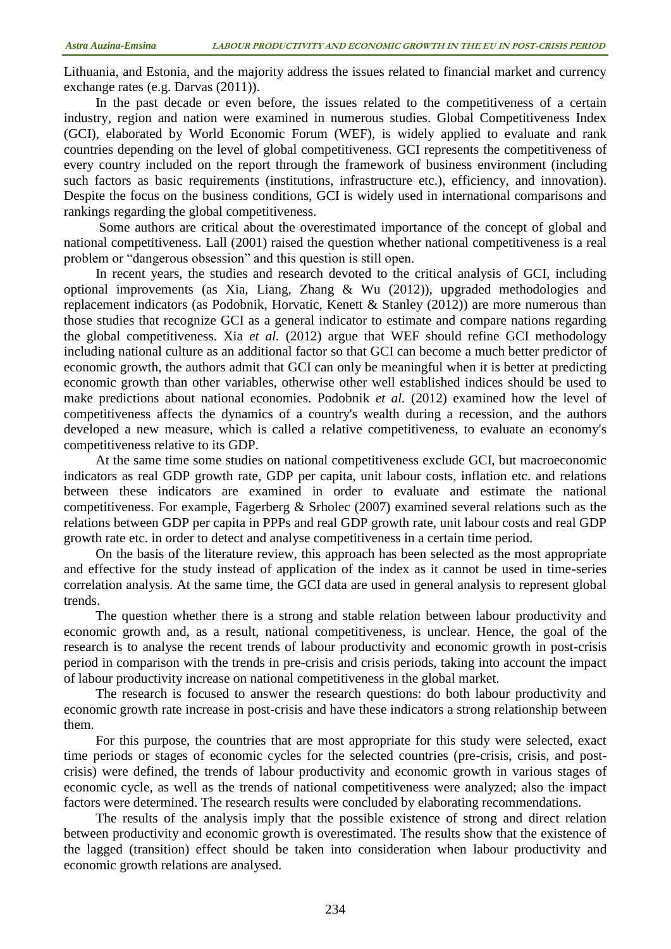Lithuania, and Estonia, and the majority address the issues related to financial market and currency exchange rates (e.g. Darvas (2011)).

In the past decade or even before, the issues related to the competitiveness of a certain industry, region and nation were examined in numerous studies. Global Competitiveness Index (GCI), elaborated by World Economic Forum (WEF), is widely applied to evaluate and rank countries depending on the level of global competitiveness. GCI represents the competitiveness of every country included on the report through the framework of business environment (including such factors as basic requirements (institutions, infrastructure etc.), efficiency, and innovation). Despite the focus on the business conditions, GCI is widely used in international comparisons and rankings regarding the global competitiveness.

Some authors are critical about the overestimated importance of the concept of global and national competitiveness. Lall (2001) raised the question whether national competitiveness is a real problem or "dangerous obsession" and this question is still open.

In recent years, the studies and research devoted to the critical analysis of GCI, including optional improvements (as Xia, Liang, Zhang & Wu (2012)), upgraded methodologies and replacement indicators (as Podobnik, Horvatic, Kenett & Stanley (2012)) are more numerous than those studies that recognize GCI as a general indicator to estimate and compare nations regarding the global competitiveness. Xia *et al.* (2012) argue that WEF should refine GCI methodology including national culture as an additional factor so that GCI can become a much better predictor of economic growth, the authors admit that GCI can only be meaningful when it is better at predicting economic growth than other variables, otherwise other well established indices should be used to make predictions about national economies. Podobnik *et al.* (2012) examined how the level of competitiveness affects the dynamics of a country's wealth during a recession, and the authors developed a new measure, which is called a relative competitiveness, to evaluate an economy's competitiveness relative to its GDP.

At the same time some studies on national competitiveness exclude GCI, but macroeconomic indicators as real GDP growth rate, GDP per capita, unit labour costs, inflation etc. and relations between these indicators are examined in order to evaluate and estimate the national competitiveness. For example, Fagerberg & Srholec (2007) examined several relations such as the relations between GDP per capita in PPPs and real GDP growth rate, unit labour costs and real GDP growth rate etc. in order to detect and analyse competitiveness in a certain time period.

On the basis of the literature review, this approach has been selected as the most appropriate and effective for the study instead of application of the index as it cannot be used in time-series correlation analysis. At the same time, the GCI data are used in general analysis to represent global trends.

The question whether there is a strong and stable relation between labour productivity and economic growth and, as a result, national competitiveness, is unclear. Hence, the goal of the research is to analyse the recent trends of labour productivity and economic growth in post-crisis period in comparison with the trends in pre-crisis and crisis periods, taking into account the impact of labour productivity increase on national competitiveness in the global market.

The research is focused to answer the research questions: do both labour productivity and economic growth rate increase in post-crisis and have these indicators a strong relationship between them.

For this purpose, the countries that are most appropriate for this study were selected, exact time periods or stages of economic cycles for the selected countries (pre-crisis, crisis, and postcrisis) were defined, the trends of labour productivity and economic growth in various stages of economic cycle, as well as the trends of national competitiveness were analyzed; also the impact factors were determined. The research results were concluded by elaborating recommendations.

The results of the analysis imply that the possible existence of strong and direct relation between productivity and economic growth is overestimated. The results show that the existence of the lagged (transition) effect should be taken into consideration when labour productivity and economic growth relations are analysed.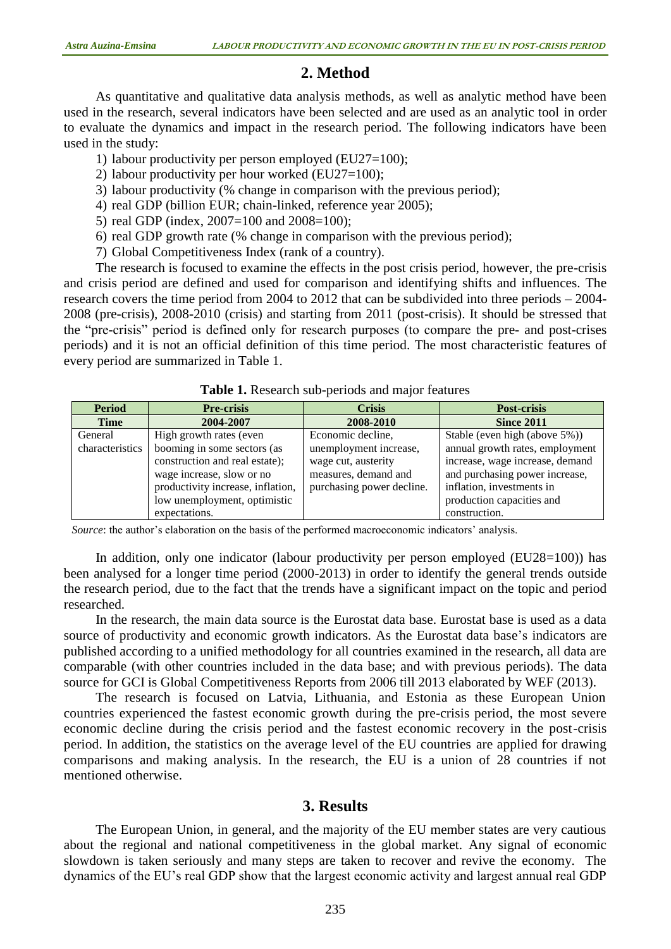# **2. Method**

As quantitative and qualitative data analysis methods, as well as analytic method have been used in the research, several indicators have been selected and are used as an analytic tool in order to evaluate the dynamics and impact in the research period. The following indicators have been used in the study:

- 1) labour productivity per person employed (EU27=100);
- 2) labour productivity per hour worked (EU27=100);
- 3) labour productivity (% change in comparison with the previous period);
- 4) real GDP (billion EUR; chain-linked, reference year 2005);
- 5) real GDP (index, 2007=100 and 2008=100);
- 6) real GDP growth rate (% change in comparison with the previous period);
- 7) Global Competitiveness Index (rank of a country).

The research is focused to examine the effects in the post crisis period, however, the pre-crisis and crisis period are defined and used for comparison and identifying shifts and influences. The research covers the time period from 2004 to 2012 that can be subdivided into three periods – 2004- 2008 (pre-crisis), 2008-2010 (crisis) and starting from 2011 (post-crisis). It should be stressed that the "pre-crisis" period is defined only for research purposes (to compare the pre- and post-crises periods) and it is not an official definition of this time period. The most characteristic features of every period are summarized in Table 1.

| <b>Period</b>   | <b>Pre-crisis</b>                 | <b>Crisis</b>             | <b>Post-crisis</b>              |
|-----------------|-----------------------------------|---------------------------|---------------------------------|
| <b>Time</b>     | 2004-2007                         | 2008-2010                 | <b>Since 2011</b>               |
| General         | High growth rates (even           | Economic decline,         | Stable (even high (above 5%))   |
| characteristics | booming in some sectors (as       | unemployment increase,    | annual growth rates, employment |
|                 | construction and real estate);    | wage cut, austerity       | increase, wage increase, demand |
|                 | wage increase, slow or no         | measures, demand and      | and purchasing power increase,  |
|                 | productivity increase, inflation, | purchasing power decline. | inflation, investments in       |
|                 | low unemployment, optimistic      |                           | production capacities and       |
|                 | expectations.                     |                           | construction.                   |

**Table 1.** Research sub-periods and major features

*Source*: the author's elaboration on the basis of the performed macroeconomic indicators' analysis.

In addition, only one indicator (labour productivity per person employed (EU28=100)) has been analysed for a longer time period (2000-2013) in order to identify the general trends outside the research period, due to the fact that the trends have a significant impact on the topic and period researched.

In the research, the main data source is the Eurostat data base. Eurostat base is used as a data source of productivity and economic growth indicators. As the Eurostat data base's indicators are published according to a unified methodology for all countries examined in the research, all data are comparable (with other countries included in the data base; and with previous periods). The data source for GCI is Global Competitiveness Reports from 2006 till 2013 elaborated by WEF (2013).

The research is focused on Latvia, Lithuania, and Estonia as these European Union countries experienced the fastest economic growth during the pre-crisis period, the most severe economic decline during the crisis period and the fastest economic recovery in the post-crisis period. In addition, the statistics on the average level of the EU countries are applied for drawing comparisons and making analysis. In the research, the EU is a union of 28 countries if not mentioned otherwise.

### **3. Results**

The European Union, in general, and the majority of the EU member states are very cautious about the regional and national competitiveness in the global market. Any signal of economic slowdown is taken seriously and many steps are taken to recover and revive the economy. The dynamics of the EU's real GDP show that the largest economic activity and largest annual real GDP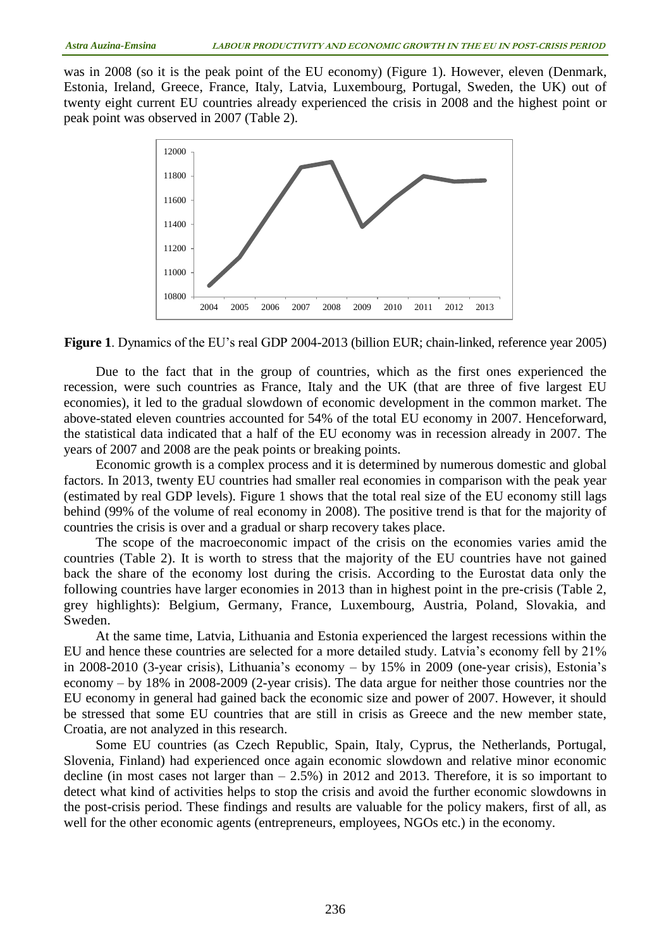was in 2008 (so it is the peak point of the EU economy) (Figure 1). However, eleven (Denmark, Estonia, Ireland, Greece, France, Italy, Latvia, Luxembourg, Portugal, Sweden, the UK) out of twenty eight current EU countries already experienced the crisis in 2008 and the highest point or peak point was observed in 2007 (Table 2).



**Figure 1**. Dynamics of the EU's real GDP 2004-2013 (billion EUR; chain-linked, reference year 2005)

Due to the fact that in the group of countries, which as the first ones experienced the recession, were such countries as France, Italy and the UK (that are three of five largest EU economies), it led to the gradual slowdown of economic development in the common market. The above-stated eleven countries accounted for 54% of the total EU economy in 2007. Henceforward, the statistical data indicated that a half of the EU economy was in recession already in 2007. The years of 2007 and 2008 are the peak points or breaking points.

Economic growth is a complex process and it is determined by numerous domestic and global factors. In 2013, twenty EU countries had smaller real economies in comparison with the peak year (estimated by real GDP levels). Figure 1 shows that the total real size of the EU economy still lags behind (99% of the volume of real economy in 2008). The positive trend is that for the majority of countries the crisis is over and a gradual or sharp recovery takes place.

The scope of the macroeconomic impact of the crisis on the economies varies amid the countries (Table 2). It is worth to stress that the majority of the EU countries have not gained back the share of the economy lost during the crisis. According to the Eurostat data only the following countries have larger economies in 2013 than in highest point in the pre-crisis (Table 2, grey highlights): Belgium, Germany, France, Luxembourg, Austria, Poland, Slovakia, and Sweden.

At the same time, Latvia, Lithuania and Estonia experienced the largest recessions within the EU and hence these countries are selected for a more detailed study. Latvia's economy fell by 21% in 2008-2010 (3-year crisis), Lithuania's economy – by 15% in 2009 (one-year crisis), Estonia's economy – by 18% in 2008-2009 (2-year crisis). The data argue for neither those countries nor the EU economy in general had gained back the economic size and power of 2007. However, it should be stressed that some EU countries that are still in crisis as Greece and the new member state, Croatia, are not analyzed in this research.

Some EU countries (as Czech Republic, Spain, Italy, Cyprus, the Netherlands, Portugal, Slovenia, Finland) had experienced once again economic slowdown and relative minor economic decline (in most cases not larger than  $-2.5\%$ ) in 2012 and 2013. Therefore, it is so important to detect what kind of activities helps to stop the crisis and avoid the further economic slowdowns in the post-crisis period. These findings and results are valuable for the policy makers, first of all, as well for the other economic agents (entrepreneurs, employees, NGOs etc.) in the economy.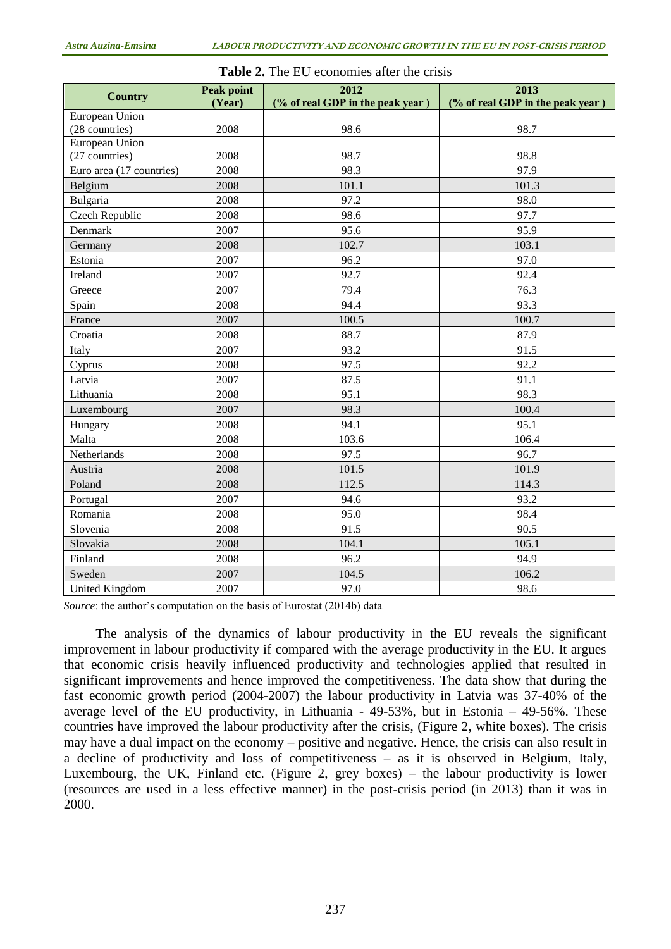| <b>Country</b>           | <b>Peak point</b> | 2012                             | 2013                             |  |  |  |
|--------------------------|-------------------|----------------------------------|----------------------------------|--|--|--|
|                          | (Year)            | (% of real GDP in the peak year) | (% of real GDP in the peak year) |  |  |  |
| European Union           |                   |                                  |                                  |  |  |  |
| (28 countries)           | 2008              | 98.6                             | 98.7                             |  |  |  |
| European Union           |                   |                                  |                                  |  |  |  |
| (27 countries)           | 2008              | 98.7                             | 98.8                             |  |  |  |
| Euro area (17 countries) | 2008              | 98.3                             | 97.9                             |  |  |  |
| Belgium                  | 2008              | 101.1                            | 101.3                            |  |  |  |
| Bulgaria                 | 2008              | 97.2                             | 98.0                             |  |  |  |
| Czech Republic           | 2008              | 98.6                             | 97.7                             |  |  |  |
| Denmark                  | 2007              | 95.6                             | 95.9                             |  |  |  |
| Germany                  | 2008              | 102.7                            | 103.1                            |  |  |  |
| Estonia                  | 2007              | 96.2                             | 97.0                             |  |  |  |
| Ireland                  | 2007              | 92.7                             | 92.4                             |  |  |  |
| Greece                   | 2007              | 79.4                             | 76.3                             |  |  |  |
| Spain                    | 2008              | 94.4                             | 93.3                             |  |  |  |
| France                   | 2007              | 100.5                            | 100.7                            |  |  |  |
| Croatia                  | 2008              | 88.7                             | 87.9                             |  |  |  |
| Italy                    | 2007              | 93.2                             | 91.5                             |  |  |  |
| Cyprus                   | 2008              | 97.5                             | 92.2                             |  |  |  |
| Latvia                   | 2007              | 87.5                             | 91.1                             |  |  |  |
| Lithuania                | 2008              | 95.1                             | 98.3                             |  |  |  |
| Luxembourg               | 2007              | 98.3                             | 100.4                            |  |  |  |
| Hungary                  | 2008              | 94.1                             | 95.1                             |  |  |  |
| Malta                    | 2008              | 103.6                            | 106.4                            |  |  |  |
| Netherlands              | 2008              | 97.5                             | 96.7                             |  |  |  |
| Austria                  | 2008              | 101.5                            | 101.9                            |  |  |  |
| Poland                   | 2008              | 112.5                            | 114.3                            |  |  |  |
| Portugal                 | 2007              | 94.6                             | 93.2                             |  |  |  |
| Romania                  | 2008              | 95.0                             | 98.4                             |  |  |  |
| Slovenia                 | 2008              | 91.5                             | 90.5                             |  |  |  |
| Slovakia                 | 2008              | 104.1                            | 105.1                            |  |  |  |
| Finland                  | 2008              | 96.2                             | 94.9                             |  |  |  |
| Sweden                   | 2007              | 104.5                            | 106.2                            |  |  |  |
| <b>United Kingdom</b>    | 2007              | 97.0                             | 98.6                             |  |  |  |

#### **Table 2.** The EU economies after the crisis

*Source*: the author's computation on the basis of Eurostat (2014b) data

The analysis of the dynamics of labour productivity in the EU reveals the significant improvement in labour productivity if compared with the average productivity in the EU. It argues that economic crisis heavily influenced productivity and technologies applied that resulted in significant improvements and hence improved the competitiveness. The data show that during the fast economic growth period (2004-2007) the labour productivity in Latvia was 37-40% of the average level of the EU productivity, in Lithuania - 49-53%, but in Estonia – 49-56%. These countries have improved the labour productivity after the crisis, (Figure 2, white boxes). The crisis may have a dual impact on the economy – positive and negative. Hence, the crisis can also result in a decline of productivity and loss of competitiveness – as it is observed in Belgium, Italy, Luxembourg, the UK, Finland etc. (Figure 2, grey boxes) – the labour productivity is lower (resources are used in a less effective manner) in the post-crisis period (in 2013) than it was in 2000.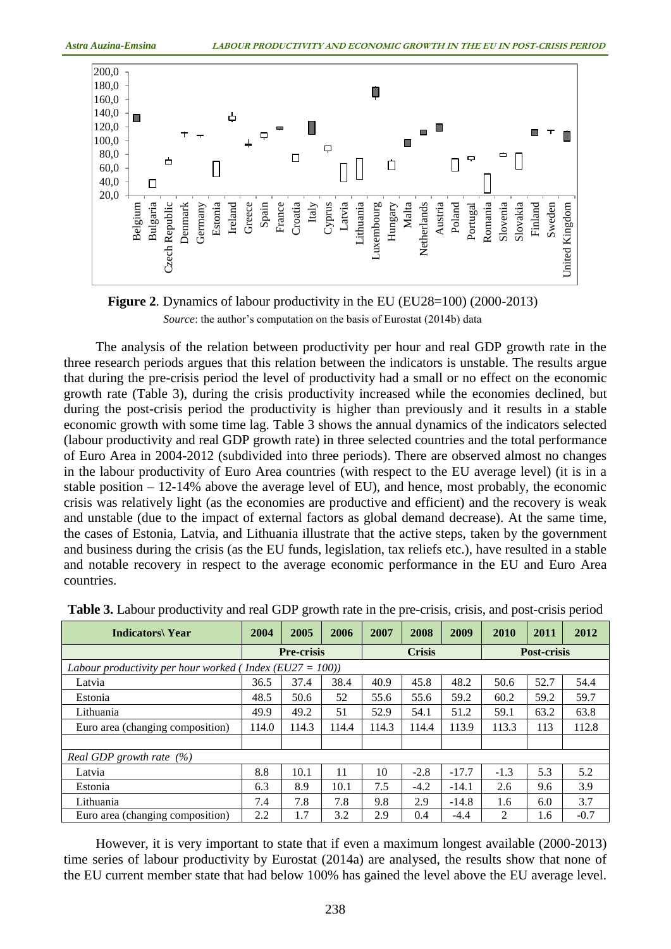



The analysis of the relation between productivity per hour and real GDP growth rate in the three research periods argues that this relation between the indicators is unstable. The results argue that during the pre-crisis period the level of productivity had a small or no effect on the economic growth rate (Table 3), during the crisis productivity increased while the economies declined, but during the post-crisis period the productivity is higher than previously and it results in a stable economic growth with some time lag. Table 3 shows the annual dynamics of the indicators selected (labour productivity and real GDP growth rate) in three selected countries and the total performance of Euro Area in 2004-2012 (subdivided into three periods). There are observed almost no changes in the labour productivity of Euro Area countries (with respect to the EU average level) (it is in a stable position – 12-14% above the average level of EU), and hence, most probably, the economic crisis was relatively light (as the economies are productive and efficient) and the recovery is weak and unstable (due to the impact of external factors as global demand decrease). At the same time, the cases of Estonia, Latvia, and Lithuania illustrate that the active steps, taken by the government and business during the crisis (as the EU funds, legislation, tax reliefs etc.), have resulted in a stable and notable recovery in respect to the average economic performance in the EU and Euro Area countries.

| <b>Indicators</b> Year                                   | 2004              | 2005  | 2006          | 2007  | 2008               | 2009    | 2010          | 2011 | 2012   |  |
|----------------------------------------------------------|-------------------|-------|---------------|-------|--------------------|---------|---------------|------|--------|--|
|                                                          | <b>Pre-crisis</b> |       | <b>Crisis</b> |       | <b>Post-crisis</b> |         |               |      |        |  |
| Labour productivity per hour worked (Index (EU27 = 100)) |                   |       |               |       |                    |         |               |      |        |  |
| Latvia                                                   | 36.5              | 37.4  | 38.4          | 40.9  | 45.8               | 48.2    | 50.6          | 52.7 | 54.4   |  |
| Estonia                                                  | 48.5              | 50.6  | 52            | 55.6  | 55.6               | 59.2    | 60.2          | 59.2 | 59.7   |  |
| Lithuania                                                | 49.9              | 49.2  | 51            | 52.9  | 54.1               | 51.2    | 59.1          | 63.2 | 63.8   |  |
| Euro area (changing composition)                         | 114.0             | 114.3 | 114.4         | 114.3 | 114.4              | 113.9   | 113.3         | 113  | 112.8  |  |
|                                                          |                   |       |               |       |                    |         |               |      |        |  |
| Real GDP growth rate $(%)$                               |                   |       |               |       |                    |         |               |      |        |  |
| Latvia                                                   | 8.8               | 10.1  | 11            | 10    | $-2.8$             | $-17.7$ | $-1.3$        | 5.3  | 5.2    |  |
| Estonia                                                  | 6.3               | 8.9   | 10.1          | 7.5   | $-4.2$             | $-14.1$ | 2.6           | 9.6  | 3.9    |  |
| Lithuania                                                | 7.4               | 7.8   | 7.8           | 9.8   | 2.9                | $-14.8$ | 1.6           | 6.0  | 3.7    |  |
| Euro area (changing composition)                         | 2.2               | 1.7   | 3.2           | 2.9   | 0.4                | $-4.4$  | $\mathcal{D}$ | 1.6  | $-0.7$ |  |

**Table 3.** Labour productivity and real GDP growth rate in the pre-crisis, crisis, and post-crisis period

However, it is very important to state that if even a maximum longest available (2000-2013) time series of labour productivity by Eurostat (2014a) are analysed, the results show that none of the EU current member state that had below 100% has gained the level above the EU average level.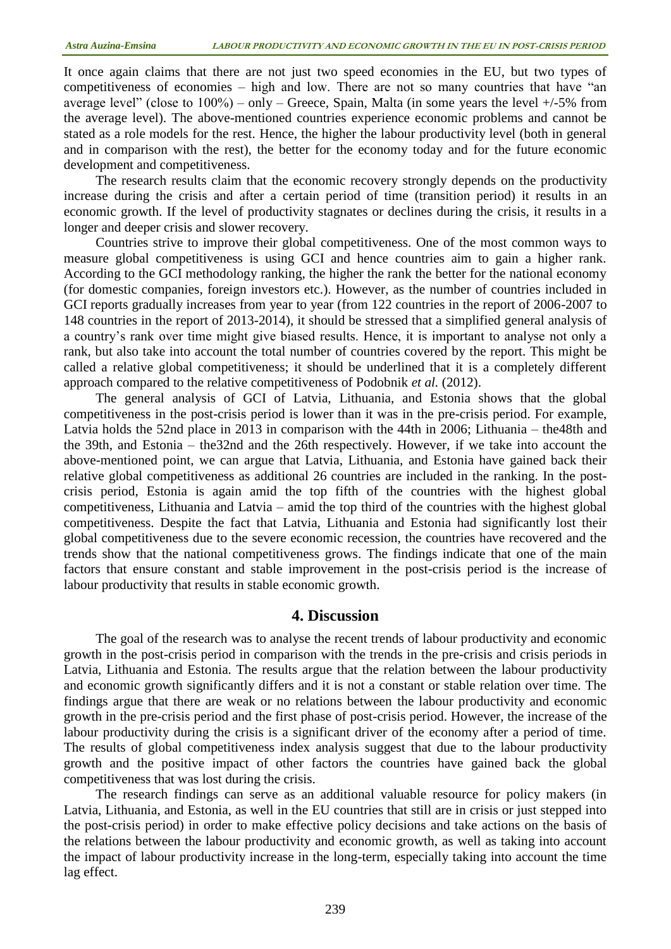It once again claims that there are not just two speed economies in the EU, but two types of competitiveness of economies – high and low. There are not so many countries that have "an average level" (close to  $100\%$ ) – only – Greece, Spain, Malta (in some years the level  $+/-5\%$  from the average level). The above-mentioned countries experience economic problems and cannot be stated as a role models for the rest. Hence, the higher the labour productivity level (both in general and in comparison with the rest), the better for the economy today and for the future economic development and competitiveness.

The research results claim that the economic recovery strongly depends on the productivity increase during the crisis and after a certain period of time (transition period) it results in an economic growth. If the level of productivity stagnates or declines during the crisis, it results in a longer and deeper crisis and slower recovery.

Countries strive to improve their global competitiveness. One of the most common ways to measure global competitiveness is using GCI and hence countries aim to gain a higher rank. According to the GCI methodology ranking, the higher the rank the better for the national economy (for domestic companies, foreign investors etc.). However, as the number of countries included in GCI reports gradually increases from year to year (from 122 countries in the report of 2006-2007 to 148 countries in the report of 2013-2014), it should be stressed that a simplified general analysis of a country's rank over time might give biased results. Hence, it is important to analyse not only a rank, but also take into account the total number of countries covered by the report. This might be called a relative global competitiveness; it should be underlined that it is a completely different approach compared to the relative competitiveness of Podobnik *et al.* (2012).

The general analysis of GCI of Latvia, Lithuania, and Estonia shows that the global competitiveness in the post-crisis period is lower than it was in the pre-crisis period. For example, Latvia holds the 52nd place in 2013 in comparison with the 44th in 2006; Lithuania – the48th and the 39th, and Estonia – the32nd and the 26th respectively. However, if we take into account the above-mentioned point, we can argue that Latvia, Lithuania, and Estonia have gained back their relative global competitiveness as additional 26 countries are included in the ranking. In the postcrisis period, Estonia is again amid the top fifth of the countries with the highest global competitiveness, Lithuania and Latvia – amid the top third of the countries with the highest global competitiveness. Despite the fact that Latvia, Lithuania and Estonia had significantly lost their global competitiveness due to the severe economic recession, the countries have recovered and the trends show that the national competitiveness grows. The findings indicate that one of the main factors that ensure constant and stable improvement in the post-crisis period is the increase of labour productivity that results in stable economic growth.

### **4. Discussion**

The goal of the research was to analyse the recent trends of labour productivity and economic growth in the post-crisis period in comparison with the trends in the pre-crisis and crisis periods in Latvia, Lithuania and Estonia. The results argue that the relation between the labour productivity and economic growth significantly differs and it is not a constant or stable relation over time. The findings argue that there are weak or no relations between the labour productivity and economic growth in the pre-crisis period and the first phase of post-crisis period. However, the increase of the labour productivity during the crisis is a significant driver of the economy after a period of time. The results of global competitiveness index analysis suggest that due to the labour productivity growth and the positive impact of other factors the countries have gained back the global competitiveness that was lost during the crisis.

The research findings can serve as an additional valuable resource for policy makers (in Latvia, Lithuania, and Estonia, as well in the EU countries that still are in crisis or just stepped into the post-crisis period) in order to make effective policy decisions and take actions on the basis of the relations between the labour productivity and economic growth, as well as taking into account the impact of labour productivity increase in the long-term, especially taking into account the time lag effect.